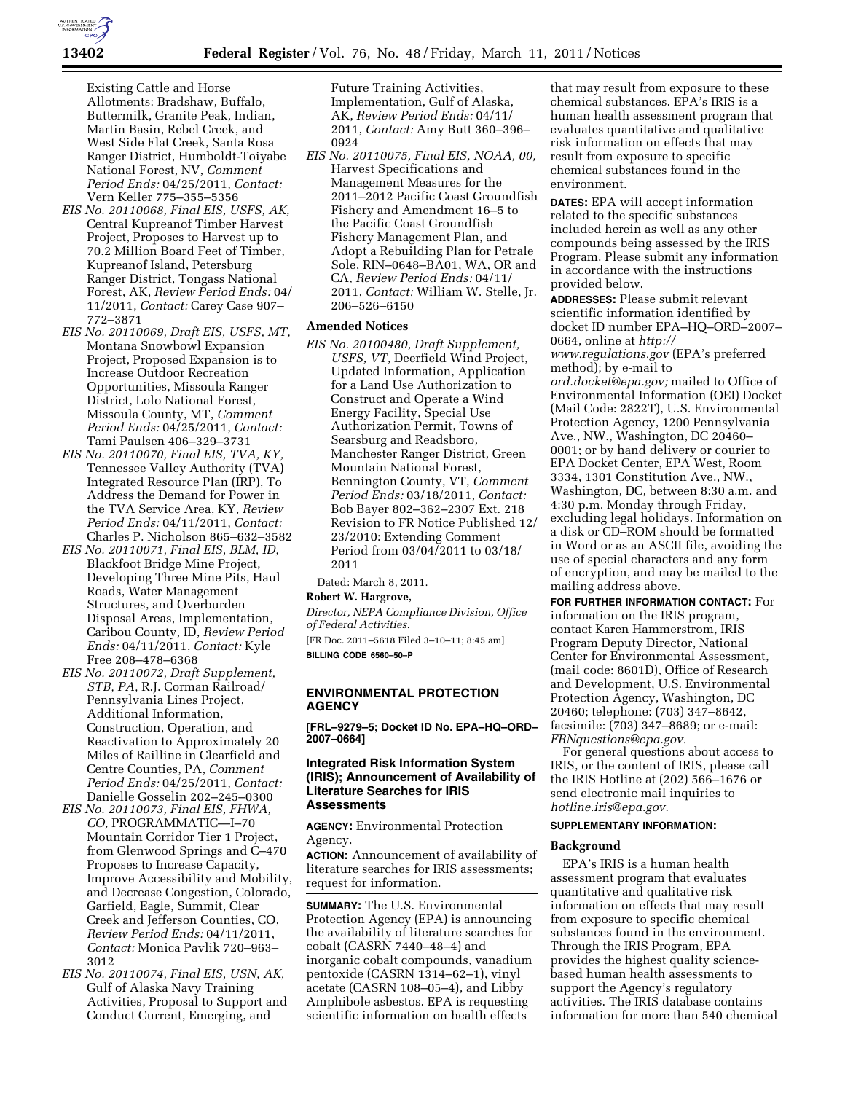Existing Cattle and Horse Allotments: Bradshaw, Buffalo, Buttermilk, Granite Peak, Indian, Martin Basin, Rebel Creek, and West Side Flat Creek, Santa Rosa Ranger District, Humboldt-Toiyabe National Forest, NV, *Comment Period Ends:* 04/25/2011, *Contact:*  Vern Keller 775–355–5356

- *EIS No. 20110068, Final EIS, USFS, AK,*  Central Kupreanof Timber Harvest Project, Proposes to Harvest up to 70.2 Million Board Feet of Timber, Kupreanof Island, Petersburg Ranger District, Tongass National Forest, AK, *Review Period Ends:* 04/ 11/2011, *Contact:* Carey Case 907– 772–3871
- *EIS No. 20110069, Draft EIS, USFS, MT,*  Montana Snowbowl Expansion Project, Proposed Expansion is to Increase Outdoor Recreation Opportunities, Missoula Ranger District, Lolo National Forest, Missoula County, MT, *Comment Period Ends:* 04/25/2011, *Contact:*  Tami Paulsen 406–329–3731
- *EIS No. 20110070, Final EIS, TVA, KY,*  Tennessee Valley Authority (TVA) Integrated Resource Plan (IRP), To Address the Demand for Power in the TVA Service Area, KY, *Review Period Ends:* 04/11/2011, *Contact:*  Charles P. Nicholson 865–632–3582
- *EIS No. 20110071, Final EIS, BLM, ID,*  Blackfoot Bridge Mine Project, Developing Three Mine Pits, Haul Roads, Water Management Structures, and Overburden Disposal Areas, Implementation, Caribou County, ID, *Review Period Ends:* 04/11/2011, *Contact:* Kyle Free 208–478–6368
- *EIS No. 20110072, Draft Supplement, STB, PA,* R.J. Corman Railroad/ Pennsylvania Lines Project, Additional Information, Construction, Operation, and Reactivation to Approximately 20 Miles of Railline in Clearfield and Centre Counties, PA, *Comment Period Ends:* 04/25/2011, *Contact:*  Danielle Gosselin 202–245–0300
- *EIS No. 20110073, Final EIS, FHWA, CO,* PROGRAMMATIC—I–70 Mountain Corridor Tier 1 Project, from Glenwood Springs and C–470 Proposes to Increase Capacity, Improve Accessibility and Mobility, and Decrease Congestion, Colorado, Garfield, Eagle, Summit, Clear Creek and Jefferson Counties, CO, *Review Period Ends:* 04/11/2011, *Contact:* Monica Pavlik 720–963– 3012
- *EIS No. 20110074, Final EIS, USN, AK,*  Gulf of Alaska Navy Training Activities, Proposal to Support and Conduct Current, Emerging, and

Future Training Activities, Implementation, Gulf of Alaska, AK, *Review Period Ends:* 04/11/ 2011, *Contact:* Amy Butt 360–396– 0924

*EIS No. 20110075, Final EIS, NOAA, 00,*  Harvest Specifications and Management Measures for the 2011–2012 Pacific Coast Groundfish Fishery and Amendment 16–5 to the Pacific Coast Groundfish Fishery Management Plan, and Adopt a Rebuilding Plan for Petrale Sole, RIN–0648–BA01, WA, OR and CA, *Review Period Ends:* 04/11/ 2011, *Contact:* William W. Stelle, Jr. 206–526–6150

### **Amended Notices**

*EIS No. 20100480, Draft Supplement, USFS, VT,* Deerfield Wind Project, Updated Information, Application for a Land Use Authorization to Construct and Operate a Wind Energy Facility, Special Use Authorization Permit, Towns of Searsburg and Readsboro, Manchester Ranger District, Green Mountain National Forest, Bennington County, VT, *Comment Period Ends:* 03/18/2011, *Contact:*  Bob Bayer 802–362–2307 Ext. 218 Revision to FR Notice Published 12/ 23/2010: Extending Comment Period from 03/04/2011 to 03/18/ 2011

Dated: March 8, 2011.

#### **Robert W. Hargrove,**

*Director, NEPA Compliance Division, Office of Federal Activities.* 

[FR Doc. 2011–5618 Filed 3–10–11; 8:45 am] **BILLING CODE 6560–50–P** 

## **ENVIRONMENTAL PROTECTION AGENCY**

**[FRL–9279–5; Docket ID No. EPA–HQ–ORD– 2007–0664]** 

## **Integrated Risk Information System (IRIS); Announcement of Availability of Literature Searches for IRIS Assessments**

**AGENCY:** Environmental Protection Agency.

**ACTION:** Announcement of availability of literature searches for IRIS assessments; request for information.

**SUMMARY:** The U.S. Environmental Protection Agency (EPA) is announcing the availability of literature searches for cobalt (CASRN 7440–48–4) and inorganic cobalt compounds, vanadium pentoxide (CASRN 1314–62–1), vinyl acetate (CASRN 108–05–4), and Libby Amphibole asbestos. EPA is requesting scientific information on health effects

that may result from exposure to these chemical substances. EPA's IRIS is a human health assessment program that evaluates quantitative and qualitative risk information on effects that may result from exposure to specific chemical substances found in the environment.

**DATES:** EPA will accept information related to the specific substances included herein as well as any other compounds being assessed by the IRIS Program. Please submit any information in accordance with the instructions provided below.

**ADDRESSES:** Please submit relevant scientific information identified by docket ID number EPA–HQ–ORD–2007– 0664, online at *[http://](http://www.regulations.gov) [www.regulations.gov](http://www.regulations.gov)* (EPA's preferred method); by e-mail to *[ord.docket@epa.gov;](mailto:ord.docket@epa.gov)* mailed to Office of Environmental Information (OEI) Docket (Mail Code: 2822T), U.S. Environmental Protection Agency, 1200 Pennsylvania Ave., NW., Washington, DC 20460– 0001; or by hand delivery or courier to EPA Docket Center, EPA West, Room 3334, 1301 Constitution Ave., NW., Washington, DC, between 8:30 a.m. and 4:30 p.m. Monday through Friday, excluding legal holidays. Information on a disk or CD–ROM should be formatted in Word or as an ASCII file, avoiding the use of special characters and any form of encryption, and may be mailed to the mailing address above.

**FOR FURTHER INFORMATION CONTACT:** For information on the IRIS program, contact Karen Hammerstrom, IRIS Program Deputy Director, National Center for Environmental Assessment, (mail code: 8601D), Office of Research and Development, U.S. Environmental Protection Agency, Washington, DC 20460; telephone: (703) 347–8642, facsimile: (703) 347–8689; or e-mail: *[FRNquestions@epa.gov.](mailto:FRNquestions@epa.gov)* 

For general questions about access to IRIS, or the content of IRIS, please call the IRIS Hotline at (202) 566–1676 or send electronic mail inquiries to *[hotline.iris@epa.gov.](mailto:hotline.iris@epa.gov)* 

#### **SUPPLEMENTARY INFORMATION:**

### **Background**

EPA's IRIS is a human health assessment program that evaluates quantitative and qualitative risk information on effects that may result from exposure to specific chemical substances found in the environment. Through the IRIS Program, EPA provides the highest quality sciencebased human health assessments to support the Agency's regulatory activities. The IRIS database contains information for more than 540 chemical